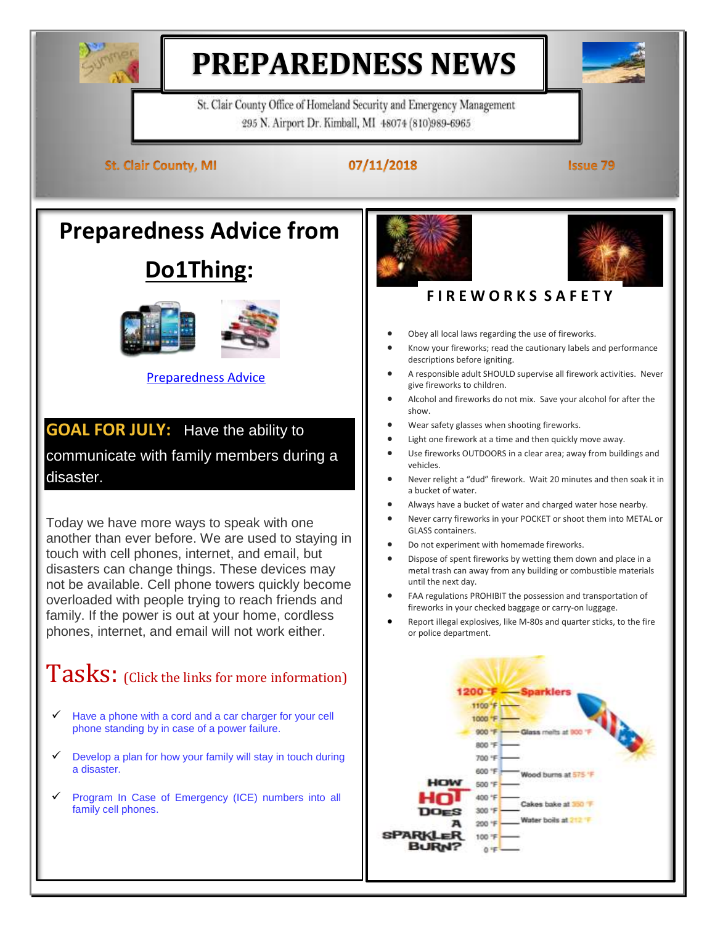

# **PREPAREDNESS NEWS**

St. Clair County Office of Homeland Security and Emergency Management 295 N. Airport Dr. Kimball, MI 48074 (810)989-6965

**St. Clair County, MI** 

### 07/11/2018

**Issue 79** 

**Preparedness Advice from** 

## **Do1Thing:**



#### [Preparedness Advice](https://www.wlns.com/news/home-safety-is-your-family-prepared-for-an-emergency/1036132141)

**GOAL FOR JULY:** Have the ability to communicate with family members during a disaster.

Today we have more ways to speak with one another than ever before. We are used to staying in touch with cell phones, internet, and email, but disasters can change things. These devices may not be available. Cell phone towers quickly become overloaded with people trying to reach friends and family. If the power is out at your home, cordless phones, internet, and email will not work either.

## Tasks: (Click the links for more information)

- $\checkmark$  Have a phone with a cord and a car charger for your cell [phone standing by in case of a power failure.](http://do1thing.com/tasks/phone)
- $\checkmark$  Develop a plan for how your family will stay in touch during [a disaster.](http://do1thing.com/tasks/family-communication)
- $\checkmark$  Program In Case of Emergency (ICE) numbers into all [family cell phones.](http://do1thing.com/tasks/ice-numbers)





## **F I R E W O R K S S A F E T Y**

- Obey all local laws regarding the use of fireworks.
- Know your fireworks; read the cautionary labels and performance descriptions before igniting.
- A responsible adult SHOULD supervise all firework activities. Never give fireworks to children.
- Alcohol and fireworks do not mix. Save your alcohol for after the show.
- Wear safety glasses when shooting fireworks.
- Light one firework at a time and then quickly move away.
- Use fireworks OUTDOORS in a clear area; away from buildings and vehicles.
- Never relight a "dud" firework. Wait 20 minutes and then soak it in a bucket of water.
- Always have a bucket of water and charged water hose nearby.
- Never carry fireworks in your POCKET or shoot them into METAL or GLASS containers.
- Do not experiment with homemade fireworks.
- Dispose of spent fireworks by wetting them down and place in a metal trash can away from any building or combustible materials until the next day.
- FAA regulations PROHIBIT the possession and transportation of fireworks in your checked baggage or carry-on luggage.
- Report illegal explosives, like M-80s and quarter sticks, to the fire or police department.

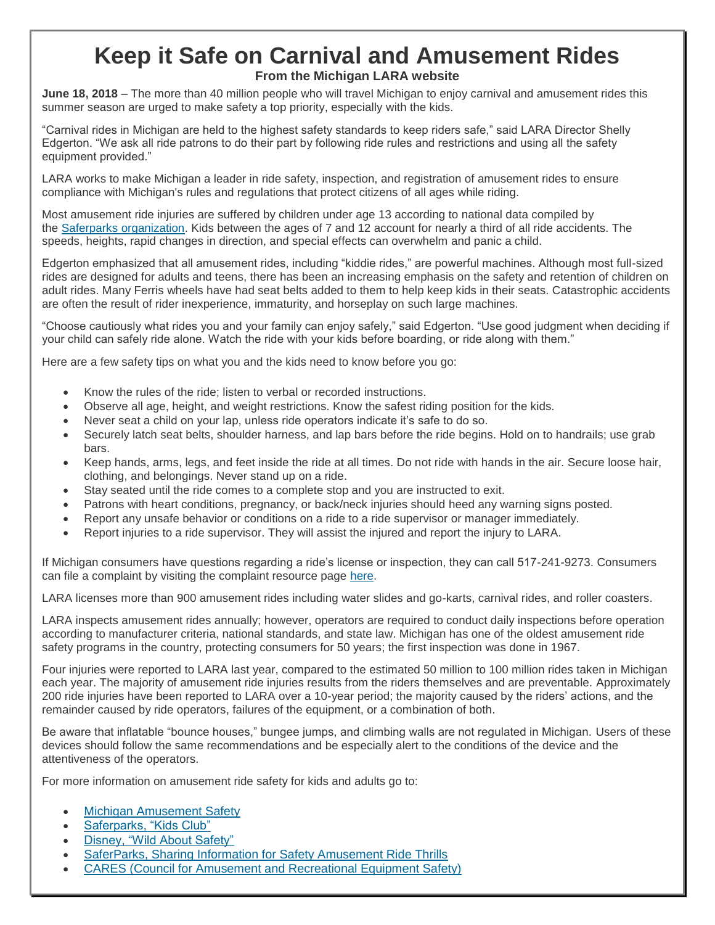### **Keep it Safe on Carnival and Amusement Rides From the Michigan LARA website**

**June 18, 2018** – The more than 40 million people who will travel Michigan to enjoy carnival and amusement rides this summer season are urged to make safety a top priority, especially with the kids.

"Carnival rides in Michigan are held to the highest safety standards to keep riders safe," said LARA Director Shelly Edgerton. "We ask all ride patrons to do their part by following ride rules and restrictions and using all the safety equipment provided."

LARA works to make Michigan a leader in ride safety, inspection, and registration of amusement rides to ensure compliance with Michigan's rules and regulations that protect citizens of all ages while riding.

Most amusement ride injuries are suffered by children under age 13 according to national data compiled by the [Saferparks organization.](http://www.saferparks.org/) Kids between the ages of 7 and 12 account for nearly a third of all ride accidents. The speeds, heights, rapid changes in direction, and special effects can overwhelm and panic a child.

Edgerton emphasized that all amusement rides, including "kiddie rides," are powerful machines. Although most full-sized rides are designed for adults and teens, there has been an increasing emphasis on the safety and retention of children on adult rides. Many Ferris wheels have had seat belts added to them to help keep kids in their seats. Catastrophic accidents are often the result of rider inexperience, immaturity, and horseplay on such large machines.

"Choose cautiously what rides you and your family can enjoy safely," said Edgerton. "Use good judgment when deciding if your child can safely ride alone. Watch the ride with your kids before boarding, or ride along with them."

Here are a few safety tips on what you and the kids need to know before you go:

- Know the rules of the ride; listen to verbal or recorded instructions.
- Observe all age, height, and weight restrictions. Know the safest riding position for the kids.
- Never seat a child on your lap, unless ride operators indicate it's safe to do so.
- Securely latch seat belts, shoulder harness, and lap bars before the ride begins. Hold on to handrails; use grab bars.
- Keep hands, arms, legs, and feet inside the ride at all times. Do not ride with hands in the air. Secure loose hair, clothing, and belongings. Never stand up on a ride.
- Stay seated until the ride comes to a complete stop and you are instructed to exit.
- Patrons with heart conditions, pregnancy, or back/neck injuries should heed any warning signs posted.
- Report any unsafe behavior or conditions on a ride to a ride supervisor or manager immediately.
- Report injuries to a ride supervisor. They will assist the injured and report the injury to LARA.

If Michigan consumers have questions regarding a ride's license or inspection, they can call 517-241-9273. Consumers can file a complaint by visiting the complaint resource page [here.](http://www.michigan.gov/lara/0,4601,7-154-61343_32915-268539--,00.html)

LARA licenses more than 900 amusement rides including water slides and go-karts, carnival rides, and roller coasters.

LARA inspects amusement rides annually; however, operators are required to conduct daily inspections before operation according to manufacturer criteria, national standards, and state law. Michigan has one of the oldest amusement ride safety programs in the country, protecting consumers for 50 years; the first inspection was done in 1967.

Four injuries were reported to LARA last year, compared to the estimated 50 million to 100 million rides taken in Michigan each year. The majority of amusement ride injuries results from the riders themselves and are preventable. Approximately 200 ride injuries have been reported to LARA over a 10-year period; the majority caused by the riders' actions, and the remainder caused by ride operators, failures of the equipment, or a combination of both.

Be aware that inflatable "bounce houses," bungee jumps, and climbing walls are not regulated in Michigan. Users of these devices should follow the same recommendations and be especially alert to the conditions of the device and the attentiveness of the operators.

For more information on amusement ride safety for kids and adults go to:

- [Michigan Amusement Safety](http://www.michigan.gov/amusement)
- [Saferparks, "Kids Club"](http://www.saferparks.org/kids-club)
- [Disney, "Wild About Safety"](http://disneywildaboutsafety.com/parents/theme-park-safety-tips)
- [SaferParks, Sharing Information for Safety Amusement Ride Thrills](http://www.saferparks.org/)
- [CARES \(Council for Amusement and Recreational Equipment Safety\)](http://caresofficials.org/)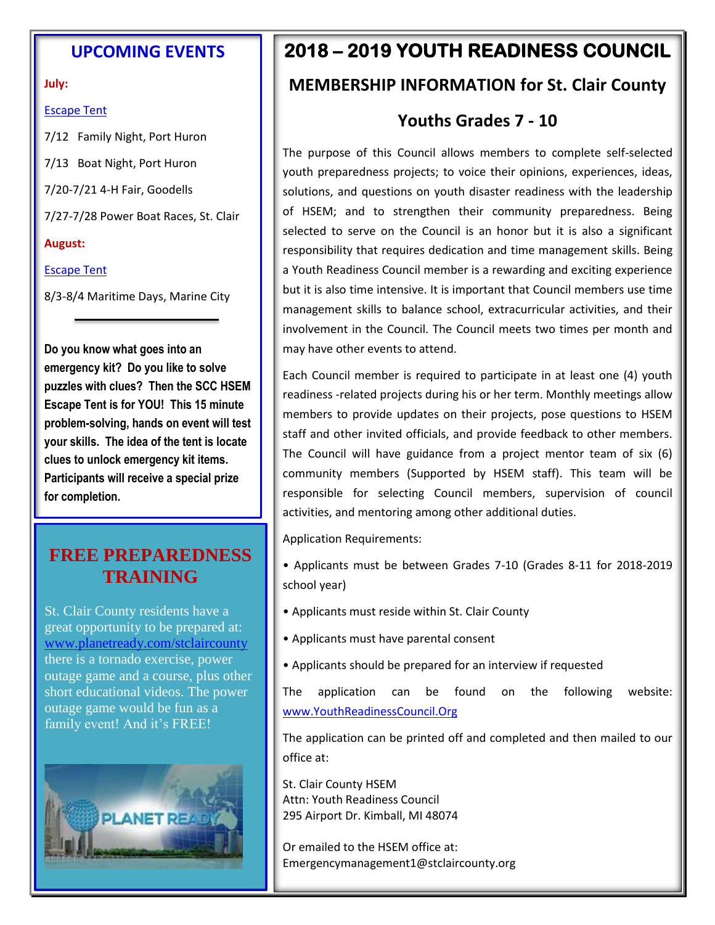#### **UPCOMING EVENTS**

#### **July:**

#### Escape Tent

7/12 Family Night, Port Huron

7/13 Boat Night, Port Huron

7/20-7/21 4-H Fair, Goodells

7/27-7/28 Power Boat Races, St. Clair

#### **August:**

#### Escape Tent

8/3-8/4 Maritime Days, Marine City

**Do you know what goes into an emergency kit? Do you like to solve puzzles with clues? Then the SCC HSEM Escape Tent is for YOU! This 15 minute problem-solving, hands on event will test your skills. The idea of the tent is locate clues to unlock emergency kit items. Participants will receive a special prize for completion.**

### **FREE PREPAREDNESS TRAINING**

St. Clair County residents have a great opportunity to be prepared at: [www.planetready.com/stclaircounty](http://www.planetready.com/stclaircounty) there is a tornado exercise, power outage game and a course, plus other short educational videos. The power outage game would be fun as a family event! And it's FREE!



## **2018 – 2019 YOUTH READINESS COUNCIL**

## **MEMBERSHIP INFORMATION for St. Clair County**

## **Youths Grades 7 - 10**

The purpose of this Council allows members to complete self-selected youth preparedness projects; to voice their opinions, experiences, ideas, solutions, and questions on youth disaster readiness with the leadership of HSEM; and to strengthen their community preparedness. Being selected to serve on the Council is an honor but it is also a significant responsibility that requires dedication and time management skills. Being a Youth Readiness Council member is a rewarding and exciting experience but it is also time intensive. It is important that Council members use time management skills to balance school, extracurricular activities, and their involvement in the Council. The Council meets two times per month and may have other events to attend.

Each Council member is required to participate in at least one (4) youth readiness -related projects during his or her term. Monthly meetings allow members to provide updates on their projects, pose questions to HSEM staff and other invited officials, and provide feedback to other members. The Council will have guidance from a project mentor team of six (6) community members (Supported by HSEM staff). This team will be responsible for selecting Council members, supervision of council activities, and mentoring among other additional duties.

Application Requirements:

- Applicants must be between Grades 7-10 (Grades 8-11 for 2018-2019 school year)
- Applicants must reside within St. Clair County
- Applicants must have parental consent
- Applicants should be prepared for an interview if requested

The application can be found on the following website: [www.YouthReadinessCouncil.Org](http://www.youthreadinesscouncil.org/)

The application can be printed off and completed and then mailed to our office at:

St. Clair County HSEM Attn: Youth Readiness Council 295 Airport Dr. Kimball, MI 48074

Or emailed to the HSEM office at: Emergencymanagement1@stclaircounty.org